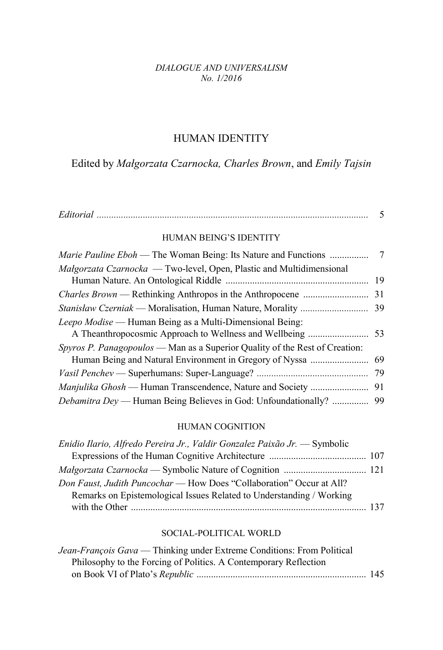#### *DIALOGUE AND UNIVERSALISM No. 1/2016*

# HUMAN IDENTITY

Edited by *Małgorzata Czarnocka, Charles Brown*, and *Emily Tajsin*

| HUMAN BEING'S IDENTITY                                                      |     |
|-----------------------------------------------------------------------------|-----|
|                                                                             |     |
| Malgorzata Czarnocka — Two-level, Open, Plastic and Multidimensional        |     |
|                                                                             |     |
|                                                                             |     |
|                                                                             |     |
| Leepo Modise — Human Being as a Multi-Dimensional Being:                    |     |
|                                                                             |     |
| Spyros P. Panagopoulos — Man as a Superior Quality of the Rest of Creation: |     |
|                                                                             |     |
|                                                                             | -79 |
|                                                                             |     |
| <i>Debamitra Dey</i> — Human Being Believes in God: Unfoundationally?  99   |     |

### HUMAN COGNITION

| Enidio Ilario, Alfredo Pereira Jr., Valdir Gonzalez Paixão Jr. — Symbolic |  |
|---------------------------------------------------------------------------|--|
|                                                                           |  |
|                                                                           |  |
| Don Faust, Judith Puncochar — How Does "Collaboration" Occur at All?      |  |
| Remarks on Epistemological Issues Related to Understanding / Working      |  |
|                                                                           |  |

### SOCIAL-POLITICAL WORLD

| Jean-François Gava — Thinking under Extreme Conditions: From Political |  |
|------------------------------------------------------------------------|--|
| Philosophy to the Forcing of Politics. A Contemporary Reflection       |  |
|                                                                        |  |